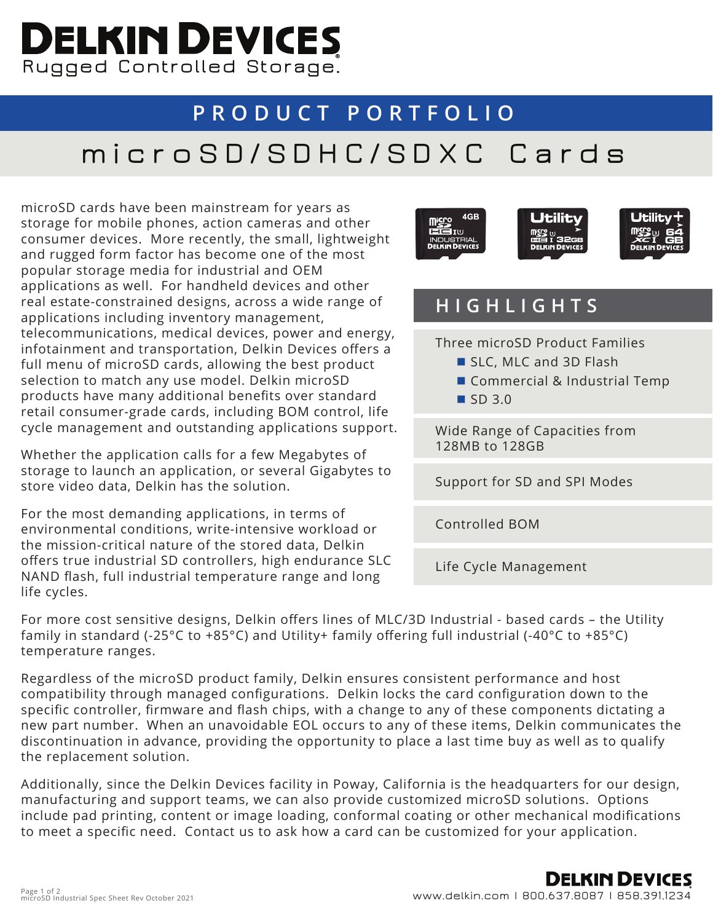# **Rugged Controlled Storage.**

### **PRODUCT PORTFOLIO**

## **microSD/SDHC/SDXC Cards**

microSD cards have been mainstream for years as storage for mobile phones, action cameras and other consumer devices. More recently, the small, lightweight and rugged form factor has become one of the most popular storage media for industrial and OEM applications as well. For handheld devices and other real estate-constrained designs, across a wide range of applications including inventory management, telecommunications, medical devices, power and energy, infotainment and transportation, Delkin Devices offers a full menu of microSD cards, allowing the best product selection to match any use model. Delkin microSD products have many additional benefits over standard retail consumer-grade cards, including BOM control, life cycle management and outstanding applications support.

Whether the application calls for a few Megabytes of storage to launch an application, or several Gigabytes to store video data, Delkin has the solution.

For the most demanding applications, in terms of environmental conditions, write-intensive workload or the mission-critical nature of the stored data, Delkin offers true industrial SD controllers, high endurance SLC NAND flash, full industrial temperature range and long life cycles.



#### **HIGHLIGHTS**

Three microSD Product Families

- SLC, MLC and 3D Flash
- Commercial & Industrial Temp
- $\blacksquare$  SD 3.0

Wide Range of Capacities from 128MB to 128GB

Support for SD and SPI Modes

Controlled BOM

Life Cycle Management

For more cost sensitive designs, Delkin offers lines of MLC/3D Industrial - based cards – the Utility family in standard (-25°C to +85°C) and Utility+ family offering full industrial (-40°C to +85°C) temperature ranges.

Regardless of the microSD product family, Delkin ensures consistent performance and host compatibility through managed configurations. Delkin locks the card configuration down to the specific controller, firmware and flash chips, with a change to any of these components dictating a new part number. When an unavoidable EOL occurs to any of these items, Delkin communicates the discontinuation in advance, providing the opportunity to place a last time buy as well as to qualify the replacement solution.

Additionally, since the Delkin Devices facility in Poway, California is the headquarters for our design, manufacturing and support teams, we can also provide customized microSD solutions. Options include pad printing, content or image loading, conformal coating or other mechanical modifications to meet a specific need. Contact us to ask how a card can be customized for your application.